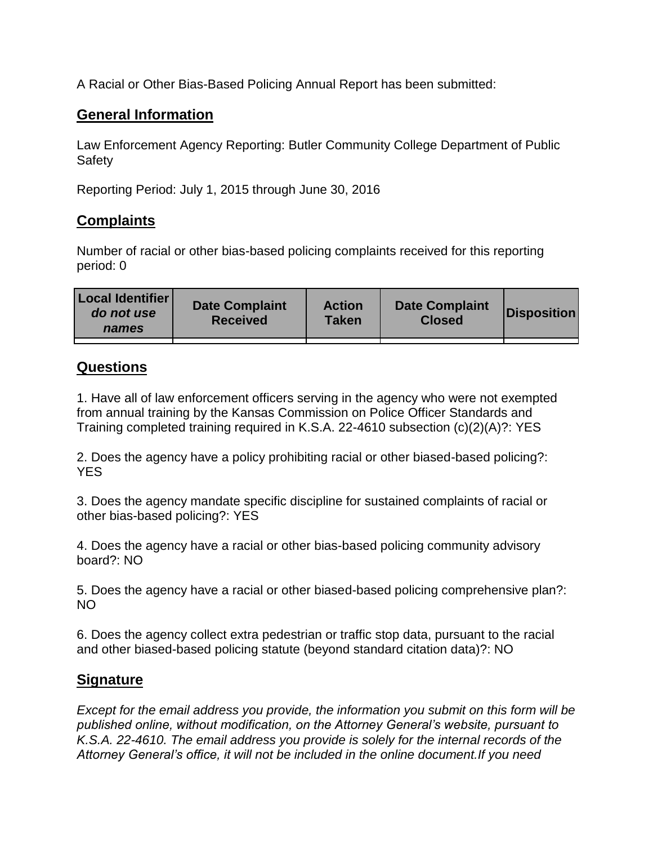A Racial or Other Bias-Based Policing Annual Report has been submitted:

## **General Information**

Law Enforcement Agency Reporting: Butler Community College Department of Public Safety

Reporting Period: July 1, 2015 through June 30, 2016

## **Complaints**

Number of racial or other bias-based policing complaints received for this reporting period: 0

| <b>Local Identifier</b><br>do not use<br>names | <b>Date Complaint</b><br><b>Received</b> | <b>Action</b><br><b>Taken</b> | <b>Date Complaint</b><br><b>Closed</b> | <b>Disposition</b> |
|------------------------------------------------|------------------------------------------|-------------------------------|----------------------------------------|--------------------|
|                                                |                                          |                               |                                        |                    |

## **Questions**

1. Have all of law enforcement officers serving in the agency who were not exempted from annual training by the Kansas Commission on Police Officer Standards and Training completed training required in K.S.A. 22-4610 subsection (c)(2)(A)?: YES

2. Does the agency have a policy prohibiting racial or other biased-based policing?: YES

3. Does the agency mandate specific discipline for sustained complaints of racial or other bias-based policing?: YES

4. Does the agency have a racial or other bias-based policing community advisory board?: NO

5. Does the agency have a racial or other biased-based policing comprehensive plan?: NO

6. Does the agency collect extra pedestrian or traffic stop data, pursuant to the racial and other biased-based policing statute (beyond standard citation data)?: NO

## **Signature**

*Except for the email address you provide, the information you submit on this form will be published online, without modification, on the Attorney General's website, pursuant to K.S.A. 22-4610. The email address you provide is solely for the internal records of the Attorney General's office, it will not be included in the online document.If you need*